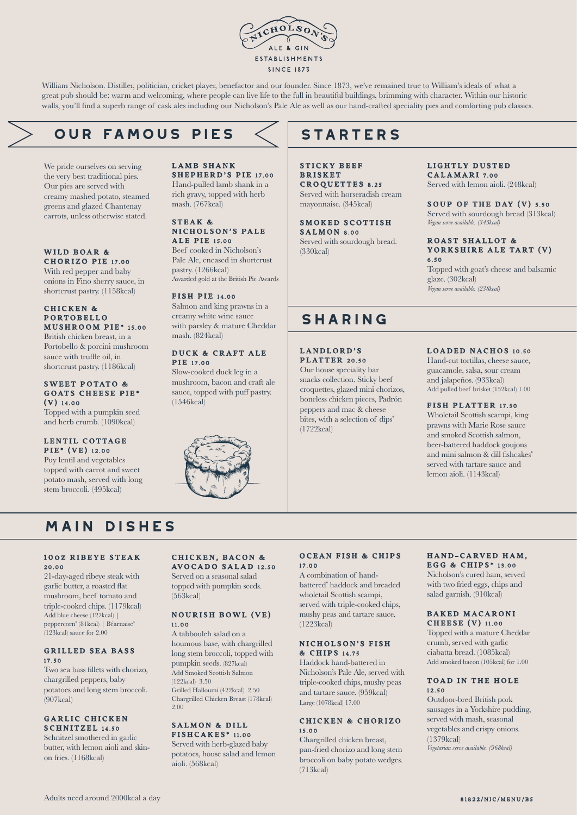

William Nicholson. Distiller, politician, cricket player, benefactor and our founder. Since 1873, we've remained true to William's ideals of what a great pub should be: warm and welcoming, where people can live life to the full in beautiful buildings, brimming with character. Within our historic walls, you'll find a superb range of cask ales including our Nicholson's Pale Ale as well as our hand-crafted speciality pies and comforting pub classics.

# **our famous PIES**

We pride ourselves on serving the very best traditional pies. Our pies are served with creamy mashed potato, steamed greens and glazed Chantenay carrots, unless otherwise stated.

#### WILD BOAR & CHORIZO PIE 17.00

With red pepper and baby onions in Fino sherry sauce, in shortcrust pastry. (1158kcal)

#### CHICKEN & P ORTOBELLO MUSHROOM PIE\* 15.00

British chicken breast, in a Portobello & porcini mushroom sauce with truffle oil, in shortcrust pastry. (1186kcal)

#### SWEET POTATO & GOATS CHEESE PIE\* (V) 14.00

Topped with a pumpkin seed and herb crumb. (1090kcal)

#### LENTIL COTTAGE PIE\* (VE) 12.00

Puy lentil and vegetables topped with carrot and sweet potato mash, served with long stem broccoli. (495kcal)

#### LAMB SHANK SHEPHERD'S PIE 17.00 Hand-pulled lamb shank in a rich gravy, topped with herb mash. (767kcal)

#### STEAK & NICHOLSON'S PALE ALE PIE 15.00

Beef cooked in Nicholson's Pale Ale, encased in shortcrust pastry. (1266kcal) Awarded gold at the British Pie Awards

#### FISH PIE 14.00

Salmon and king prawns in a creamy white wine sauce with parsley & mature Cheddar mash. (824kcal)

#### DUCK & CRAFT ALE **PIR** 17.00

Slow-cooked duck leg in a mushroom, bacon and craft ale sauce, topped with puff pastry. (1546kcal)



# **STARTERS**

STICKY BEEF **BRISKET** CROQUETTES 8.25 Served with horseradish cream mayonnaise. (345kcal)

SMOKED SCOTTISH  $S$  A L M O N  $8.00$ Served with sourdough bread. (330kcal)

### LIGHTLY DUSTED

CALAMARI 7.00 Served with lemon aioli. (248kcal)

#### SOUP OF THE DAY (V) 5.50 Served with sourdough bread (313kcal) *Vegan serve available. (345kcal)*

#### ROAST SHALLOT & YORKSHIRE ALE TART (V) 6.50

Topped with goat's cheese and balsamic glaze. (302kcal) *Vegan serve available. (238kcal)*

# **sharing**

LANDLORD'S **PLATTER 20.50** 

Our house speciality bar snacks collection. Sticky beef croquettes, glazed mini chorizos, boneless chicken pieces, Padrón peppers and mac & cheese bites, with a selection of dips<sup>\*</sup> (1722kcal)

#### LOADED NACHOS 10.50

Hand-cut tortillas, cheese sauce, guacamole, salsa, sour cream and jalapeños. (933kcal) Add pulled beef brisket (152kcal) 1.00

#### FISH PLATTER 17.50

Wholetail Scottish scampi, king prawns with Marie Rose sauce and smoked Scottish salmon, beer-battered haddock goujons and mini salmon & dill fishcakes\* served with tartare sauce and lemon aioli. (1143kcal)

# **main dishes**

#### 100Z RIBEYE STEAK 20.00

21-day-aged ribeye steak with garlic butter, a roasted flat mushroom, beef tomato and triple-cooked chips. (1179kcal) Add blue cheese (127kcal) | peppercorn\* (81kcal) | Béarnaise\* (123kcal) sauce for 2.00

#### **GRILLED SEA BASS** 17.50

Two sea bass fillets with chorizo, chargrilled peppers, baby potatoes and long stem broccoli.  $(907$ kcal)

#### GARLIC CHICKEN SCHNITZEL 14.50

Schnitzel smothered in garlic butter, with lemon aioli and skinon fries. (1168kcal)

#### CHICKEN, BACON & AVOCADO SALAD 12.50

Served on a seasonal salad topped with pumpkin seeds. (563kcal)

#### NOURISH BOWL (VE) 11.00

A tabbouleh salad on a houmous base, with chargrilled long stem broccoli, topped with pumpkin seeds. (827kcal) Add Smoked Scottish Salmon (122kcal) 3.50 Grilled Halloumi (422kcal) 2.50 Chargrilled Chicken Breast (178kcal) 2.00

#### SALMON & DILL FISHCAKES\* 11.00

Served with herb-glazed baby potatoes, house salad and lemon aioli. (568kcal)

#### OCEAN FISH & CHIPS 17.00

A combination of handbattered\* haddock and breaded wholetail Scottish scampi, served with triple-cooked chips, mushy peas and tartare sauce. (1223kcal)

#### NICHOLSON'S FISH & C HIPS 14.75

Haddock hand-battered in Nicholson's Pale Ale, served with triple-cooked chips, mushy peas and tartare sauce. (959kcal) Large (1078kcal) 17.00

#### CHICKEN & CHORIZO 15.00

Chargrilled chicken breast pan-fried chorizo and long stem broccoli on baby potato wedges. (713kcal)

#### HAND-CARVED HAM. E G G & C HIPS \* 13.00

Nicholson's cured ham, served with two fried eggs, chips and salad garnish. (910kcal)

#### BAKED MACARONI CHEESE (V) 11.00

Topped with a mature Cheddar crumb, served with garlic ciabatta bread. (1085kcal) Add smoked bacon (105kcal) for 1.00

#### TOAD IN THE HOLE 12.50

Outdoor-bred British pork sausages in a Yorkshire pudding, served with mash, seasonal vegetables and crispy onions. (1379kcal) *Vegetarian serve available. (968kcal)*